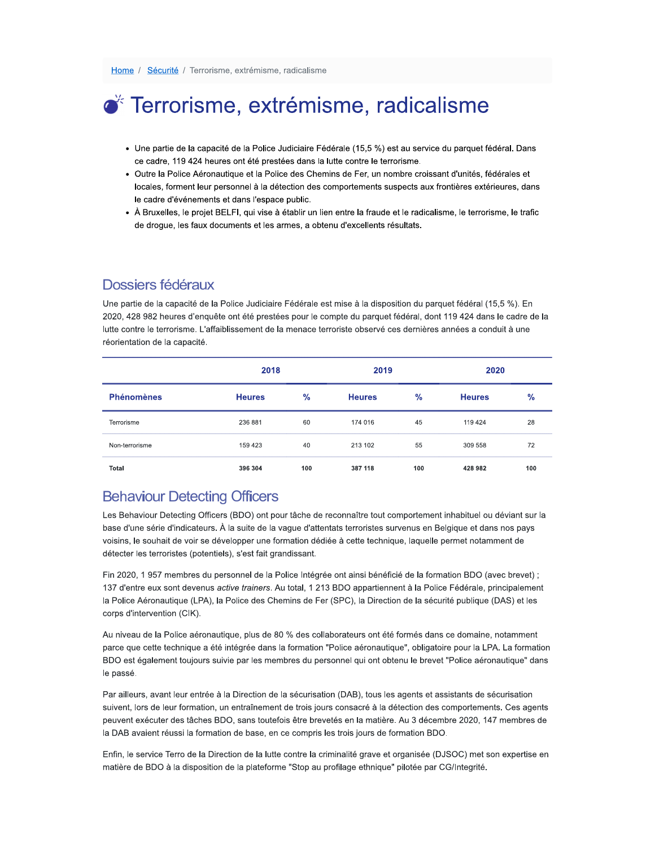# ● Terrorisme, extrémisme, radicalisme

- · Une partie de la capacité de la Police Judiciaire Fédérale (15,5 %) est au service du parquet fédéral. Dans ce cadre, 119 424 heures ont été prestées dans la lutte contre le terrorisme.
- · Outre la Police Aéronautique et la Police des Chemins de Fer, un nombre croissant d'unités, fédérales et locales, forment leur personnel à la détection des comportements suspects aux frontières extérieures, dans le cadre d'événements et dans l'espace public.
- À Bruxelles, le projet BELFI, qui vise à établir un lien entre la fraude et le radicalisme, le terrorisme, le trafic de drogue, les faux documents et les armes, a obtenu d'excellents résultats.

## Dossiers fédéraux

Une partie de la capacité de la Police Judiciaire Fédérale est mise à la disposition du parquet fédéral (15,5 %). En 2020, 428 982 heures d'enquête ont été prestées pour le compte du parquet fédéral, dont 119 424 dans le cadre de la lutte contre le terrorisme. L'affaiblissement de la menace terroriste observé ces dernières années a conduit à une réorientation de la capacité.

|                   | 2018          |      | 2019          |               | 2020          |               |
|-------------------|---------------|------|---------------|---------------|---------------|---------------|
| <b>Phénomènes</b> | <b>Heures</b> | $\%$ | <b>Heures</b> | $\frac{9}{6}$ | <b>Heures</b> | $\frac{9}{6}$ |
| Terrorisme        | 236 881       | 60   | 174 016       | 45            | 119 424       | 28            |
| Non-terrorisme    | 159 423       | 40   | 213 102       | 55            | 309 558       | 72            |
| Total             | 396 304       | 100  | 387 118       | 100           | 428 982       | 100           |

## **Behaviour Detecting Officers**

Les Behaviour Detecting Officers (BDO) ont pour tâche de reconnaître tout comportement inhabituel ou déviant sur la base d'une série d'indicateurs. À la suite de la vague d'attentats terroristes survenus en Belgique et dans nos pays voisins, le souhait de voir se développer une formation dédiée à cette technique, laquelle permet notamment de détecter les terroristes (potentiels), s'est fait grandissant.

Fin 2020, 1957 membres du personnel de la Police Intégrée ont ainsi bénéficié de la formation BDO (avec brevet); 137 d'entre eux sont devenus active trainers. Au total, 1 213 BDO appartiennent à la Police Fédérale, principalement la Police Aéronautique (LPA), la Police des Chemins de Fer (SPC), la Direction de la sécurité publique (DAS) et les corps d'intervention (CIK).

Au niveau de la Police aéronautique, plus de 80 % des collaborateurs ont été formés dans ce domaine, notamment parce que cette technique a été intégrée dans la formation "Police aéronautique", obligatoire pour la LPA. La formation BDO est également toujours suivie par les membres du personnel qui ont obtenu le brevet "Police aéronautique" dans le passé.

Par ailleurs, avant leur entrée à la Direction de la sécurisation (DAB), tous les agents et assistants de sécurisation suivent, lors de leur formation, un entraînement de trois jours consacré à la détection des comportements. Ces agents peuvent exécuter des tâches BDO, sans toutefois être brevetés en la matière. Au 3 décembre 2020, 147 membres de la DAB avaient réussi la formation de base, en ce compris les trois jours de formation BDO.

Enfin, le service Terro de la Direction de la lutte contre la criminalité grave et organisée (DJSOC) met son expertise en matière de BDO à la disposition de la plateforme "Stop au profilage ethnique" pilotée par CG/Integrité.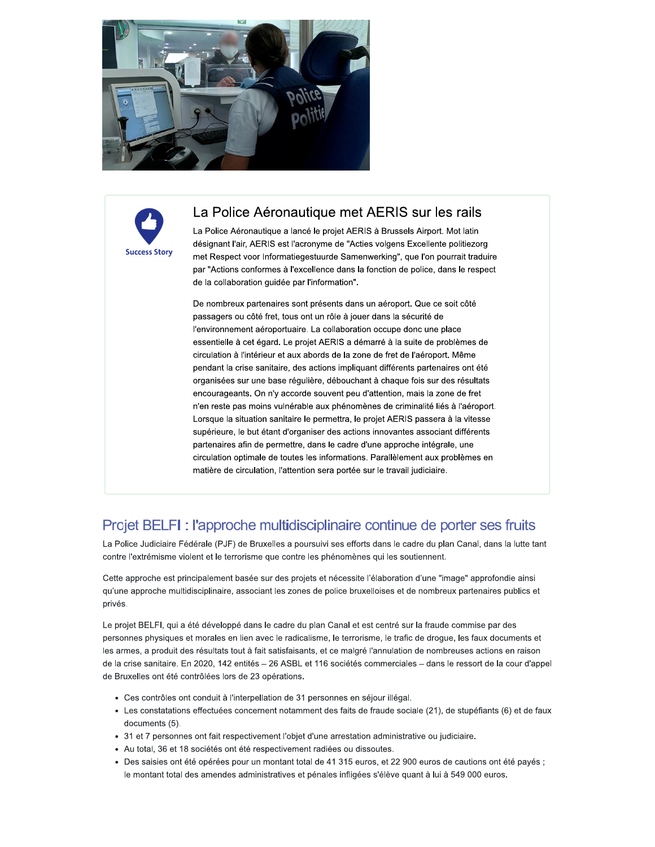



### La Police Aéronautique met AERIS sur les rails

La Police Aéronautique a lancé le projet AERIS à Brussels Airport. Mot latin désignant l'air, AERIS est l'acronyme de "Acties volgens Excellente politiezorg met Respect voor Informatiegestuurde Samenwerking", que l'on pourrait traduire par "Actions conformes à l'excellence dans la fonction de police, dans le respect de la collaboration guidée par l'information".

De nombreux partenaires sont présents dans un aéroport. Que ce soit côté passagers ou côté fret, tous ont un rôle à jouer dans la sécurité de l'environnement aéroportuaire. La collaboration occupe donc une place essentielle à cet égard. Le projet AERIS a démarré à la suite de problèmes de circulation à l'intérieur et aux abords de la zone de fret de l'aéroport. Même pendant la crise sanitaire, des actions impliquant différents partenaires ont été organisées sur une base régulière, débouchant à chaque fois sur des résultats encourageants. On n'y accorde souvent peu d'attention, mais la zone de fret n'en reste pas moins vulnérable aux phénomènes de criminalité liés à l'aéroport. Lorsque la situation sanitaire le permettra, le projet AERIS passera à la vitesse supérieure, le but étant d'organiser des actions innovantes associant différents partenaires afin de permettre, dans le cadre d'une approche intégrale, une circulation optimale de toutes les informations. Parallèlement aux problèmes en matière de circulation, l'attention sera portée sur le travail judiciaire.

## Projet BELFI : l'approche multidisciplinaire continue de porter ses fruits

La Police Judiciaire Fédérale (PJF) de Bruxelles a poursuivi ses efforts dans le cadre du plan Canal, dans la lutte tant contre l'extrémisme violent et le terrorisme que contre les phénomènes qui les soutiennent.

Cette approche est principalement basée sur des projets et nécessite l'élaboration d'une "image" approfondie ainsi qu'une approche multidisciplinaire, associant les zones de police bruxelloises et de nombreux partenaires publics et privés.

Le projet BELFI, qui a été développé dans le cadre du plan Canal et est centré sur la fraude commise par des personnes physiques et morales en lien avec le radicalisme, le terrorisme, le trafic de drogue, les faux documents et les armes, a produit des résultats tout à fait satisfaisants, et ce malgré l'annulation de nombreuses actions en raison de la crise sanitaire. En 2020, 142 entités - 26 ASBL et 116 sociétés commerciales - dans le ressort de la cour d'appel de Bruxelles ont été contrôlées lors de 23 opérations.

- Ces contrôles ont conduit à l'interpellation de 31 personnes en séjour illégal.
- · Les constatations effectuées concernent notamment des faits de fraude sociale (21), de stupéfiants (6) et de faux documents (5).
- 31 et 7 personnes ont fait respectivement l'objet d'une arrestation administrative ou judiciaire.
- Au total, 36 et 18 sociétés ont été respectivement radiées ou dissoutes.
- Des saisies ont été opérées pour un montant total de 41 315 euros, et 22 900 euros de cautions ont été payés; le montant total des amendes administratives et pénales infligées s'élève quant à lui à 549 000 euros.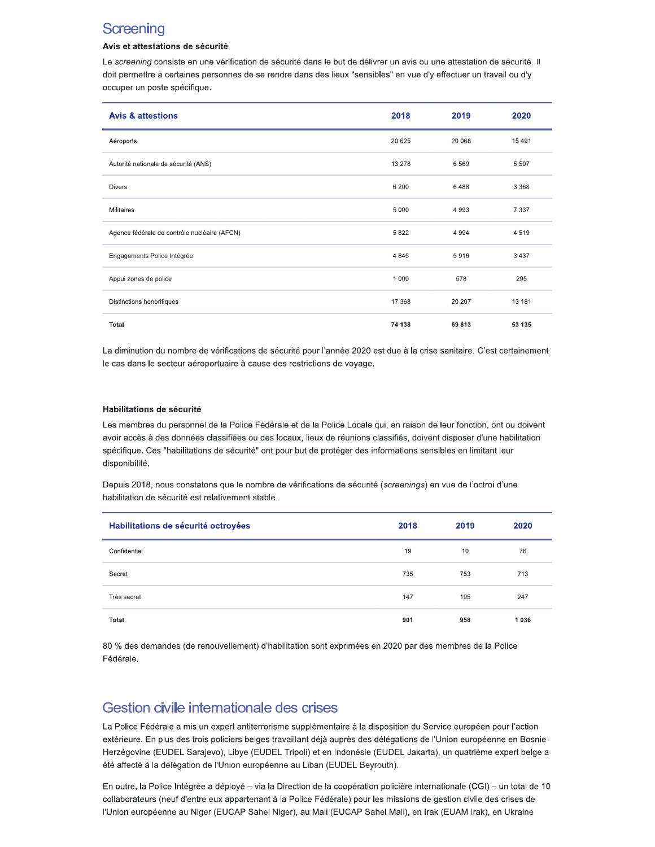## **Screening**

### Avis et attestations de sécurité

Le screening consiste en une vérification de sécurité dans le but de délivrer un avis ou une attestation de sécurité. Il doit permettre à certaines personnes de se rendre dans des lieux "sensibles" en vue d'y effectuer un travail ou d'y occuper un poste spécifique.

| <b>Avis &amp; attestions</b>                 | 2018    | 2019    | 2020     |
|----------------------------------------------|---------|---------|----------|
| Aéroports                                    | 20 6 25 | 20 068  | 15 4 9 1 |
| Autorité nationale de sécurité (ANS)         | 13 278  | 6569    | 5 5 0 7  |
| <b>Divers</b>                                | 6 200   | 6488    | 3 3 6 8  |
| <b>Militaires</b>                            | 5 0 0 0 | 4 9 9 3 | 7 3 3 7  |
| Agence fédérale de contrôle nucléaire (AFCN) | 5822    | 4 9 9 4 | 4519     |
| Engagements Police Intégrée                  | 4 8 4 5 | 5916    | 3 4 3 7  |
| Appui zones de police                        | 1 0 0 0 | 578     | 295      |
| Distinctions honorifiques                    | 17 368  | 20 20 7 | 13 181   |
| Total                                        | 74 138  | 69813   | 53 135   |

La diminution du nombre de vérifications de sécurité pour l'année 2020 est due à la crise sanitaire. C'est certainement le cas dans le secteur aéroportuaire à cause des restrictions de voyage.

#### Habilitations de sécurité

Les membres du personnel de la Police Fédérale et de la Police Locale qui, en raison de leur fonction, ont ou doivent avoir accès à des données classifiées ou des locaux, lieux de réunions classifiés, doivent disposer d'une habilitation spécifique. Ces "habilitations de sécurité" ont pour but de protéger des informations sensibles en limitant leur disponibilité.

Depuis 2018, nous constatons que le nombre de vérifications de sécurité (screenings) en vue de l'octroi d'une habilitation de sécurité est relativement stable.

| Habilitations de sécurité octroyées | 2018 | 2019 | 2020 |
|-------------------------------------|------|------|------|
| Confidentiel                        | 19   | 10   | 76   |
| Secret                              | 735  | 753  | 713  |
| Très secret                         | 147  | 195  | 247  |
| Total                               | 901  | 958  | 1036 |

80 % des demandes (de renouvellement) d'habilitation sont exprimées en 2020 par des membres de la Police Fédérale.

## Gestion civile internationale des crises

La Police Fédérale a mis un expert antiterrorisme supplémentaire à la disposition du Service européen pour l'action extérieure. En plus des trois policiers belges travaillant déjà auprès des délégations de l'Union européenne en Bosnie-Herzégovine (EUDEL Sarajevo), Libye (EUDEL Tripoli) et en Indonésie (EUDEL Jakarta), un quatrième expert belge a été affecté à la délégation de l'Union européenne au Liban (EUDEL Beyrouth).

En outre, la Police Intégrée a déployé - via la Direction de la coopération policière internationale (CGI) - un total de 10 collaborateurs (neuf d'entre eux appartenant à la Police Fédérale) pour les missions de gestion civile des crises de l'Union européenne au Niger (EUCAP Sahel Niger), au Mali (EUCAP Sahel Mali), en Irak (EUAM Irak), en Ukraine